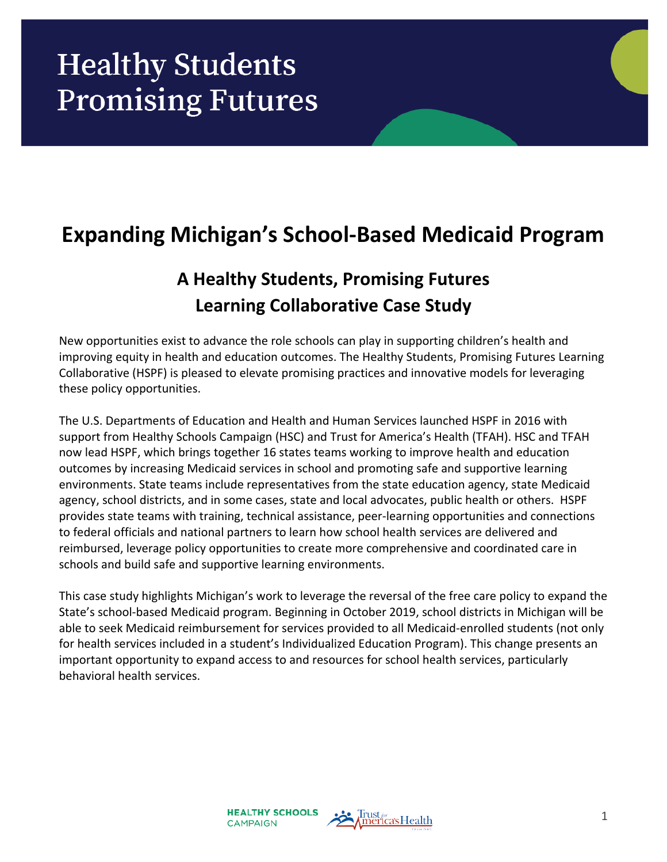# **Healthy Students Promising Futures**

# **Expanding Michigan's School-Based Medicaid Program**

## **A Healthy Students, Promising Futures Learning Collaborative Case Study**

New opportunities exist to advance the role schools can play in supporting children's health and improving equity in health and education outcomes. The Healthy Students, Promising Futures Learning Collaborative (HSPF) is pleased to elevate promising practices and innovative models for leveraging these policy opportunities.

The U.S. Departments of Education and Health and Human Services launched HSPF in 2016 with support from Healthy Schools Campaign (HSC) and Trust for America's Health (TFAH). HSC and TFAH now lead HSPF, which brings together 16 states teams working to improve health and education outcomes by increasing Medicaid services in school and promoting safe and supportive learning environments. State teams include representatives from the state education agency, state Medicaid agency, school districts, and in some cases, state and local advocates, public health or others. HSPF provides state teams with training, technical assistance, peer-learning opportunities and connections to federal officials and national partners to learn how school health services are delivered and reimbursed, leverage policy opportunities to create more comprehensive and coordinated care in schools and build safe and supportive learning environments.

This case study highlights Michigan's work to leverage the reversal of the free care policy to expand the State's school-based Medicaid program. Beginning in October 2019, school districts in Michigan will be able to seek Medicaid reimbursement for services provided to all Medicaid-enrolled students (not only for health services included in a student's Individualized Education Program). This change presents an important opportunity to expand access to and resources for school health services, particularly behavioral health services.

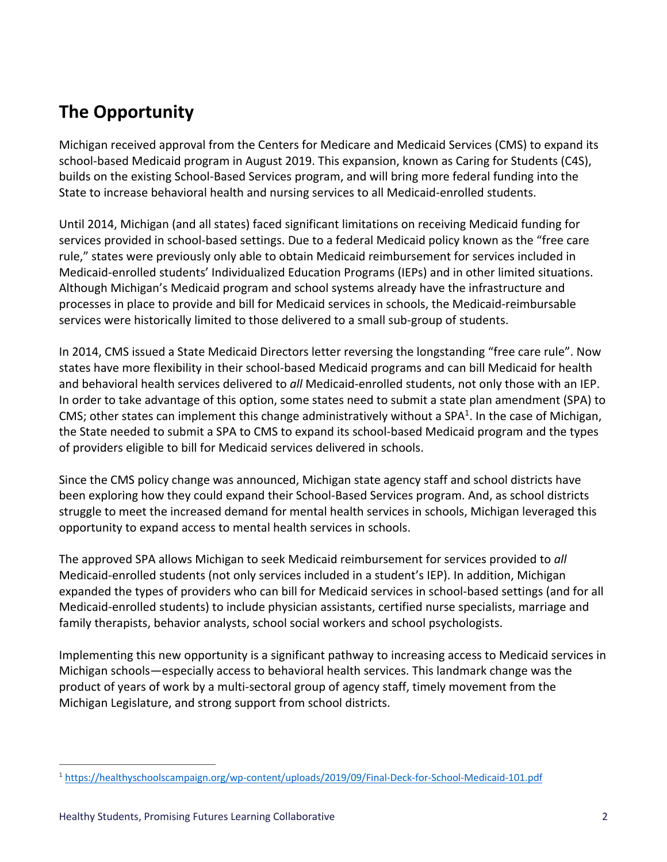### **The Opportunity**

Michigan received approval from the Centers for Medicare and Medicaid Services (CMS) to expand its school-based Medicaid program in August 2019. This expansion, known as Caring for Students (C4S), builds on the existing School-Based Services program, and will bring more federal funding into the State to increase behavioral health and nursing services to all Medicaid-enrolled students.

Until 2014, Michigan (and all states) faced significant limitations on receiving Medicaid funding for services provided in school-based settings. Due to a federal Medicaid policy known as the "free care rule," states were previously only able to obtain Medicaid reimbursement for services included in Medicaid-enrolled students' Individualized Education Programs (IEPs) and in other limited situations. Although Michigan's Medicaid program and school systems already have the infrastructure and processes in place to provide and bill for Medicaid services in schools, the Medicaid-reimbursable services were historically limited to those delivered to a small sub-group of students.

In 2014, CMS issued a State Medicaid Directors letter reversing the longstanding "free care rule". Now states have more flexibility in their school-based Medicaid programs and can bill Medicaid for health and behavioral health services delivered to *all* Medicaid-enrolled students, not only those with an IEP. In order to take advantage of this option, some states need to submit a state plan amendment (SPA) to CMS; other states can implement this change administratively without a SPA<sup>1</sup>. In the case of Michigan, the State needed to submit a SPA to CMS to expand its school-based Medicaid program and the types of providers eligible to bill for Medicaid services delivered in schools.

Since the CMS policy change was announced, Michigan state agency staff and school districts have been exploring how they could expand their School-Based Services program. And, as school districts struggle to meet the increased demand for mental health services in schools, Michigan leveraged this opportunity to expand access to mental health services in schools.

The approved SPA allows Michigan to seek Medicaid reimbursement for services provided to *all* Medicaid-enrolled students (not only services included in a student's IEP). In addition, Michigan expanded the types of providers who can bill for Medicaid services in school-based settings (and for all Medicaid-enrolled students) to include physician assistants, certified nurse specialists, marriage and family therapists, behavior analysts, school social workers and school psychologists.

Implementing this new opportunity is a significant pathway to increasing access to Medicaid services in Michigan schools—especially access to behavioral health services. This landmark change was the product of years of work by a multi-sectoral group of agency staff, timely movement from the Michigan Legislature, and strong support from school districts.

 <sup>1</sup> https://healthyschoolscampaign.org/wp-content/uploads/2019/09/Final-Deck-for-School-Medicaid-101.pdf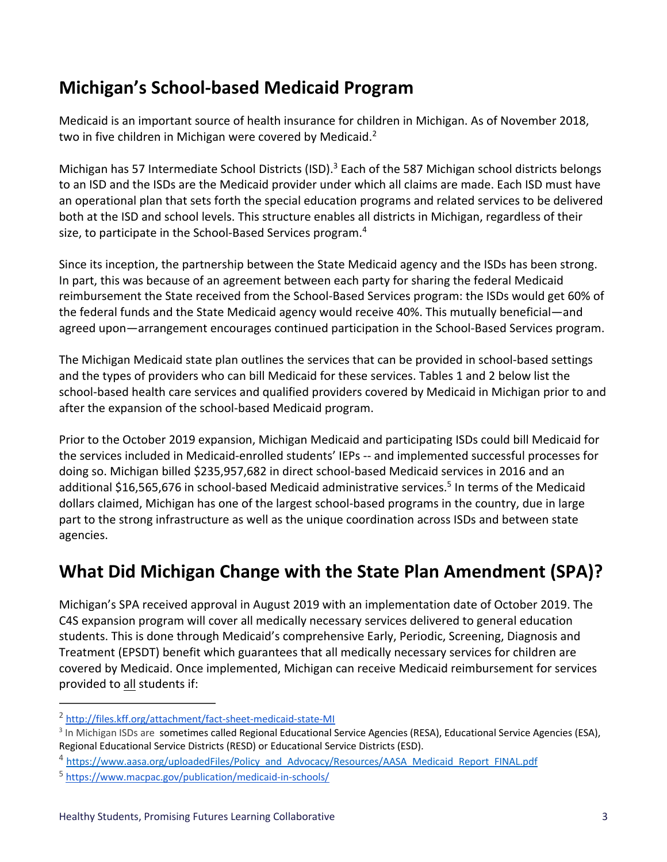### **Michigan's School-based Medicaid Program**

Medicaid is an important source of health insurance for children in Michigan. As of November 2018, two in five children in Michigan were covered by Medicaid.<sup>2</sup>

Michigan has 57 Intermediate School Districts (ISD).<sup>3</sup> Each of the 587 Michigan school districts belongs to an ISD and the ISDs are the Medicaid provider under which all claims are made. Each ISD must have an operational plan that sets forth the special education programs and related services to be delivered both at the ISD and school levels. This structure enables all districts in Michigan, regardless of their size, to participate in the School-Based Services program.<sup>4</sup>

Since its inception, the partnership between the State Medicaid agency and the ISDs has been strong. In part, this was because of an agreement between each party for sharing the federal Medicaid reimbursement the State received from the School-Based Services program: the ISDs would get 60% of the federal funds and the State Medicaid agency would receive 40%. This mutually beneficial—and agreed upon—arrangement encourages continued participation in the School-Based Services program.

The Michigan Medicaid state plan outlines the services that can be provided in school-based settings and the types of providers who can bill Medicaid for these services. Tables 1 and 2 below list the school-based health care services and qualified providers covered by Medicaid in Michigan prior to and after the expansion of the school-based Medicaid program.

Prior to the October 2019 expansion, Michigan Medicaid and participating ISDs could bill Medicaid for the services included in Medicaid-enrolled students' IEPs -- and implemented successful processes for doing so. Michigan billed \$235,957,682 in direct school-based Medicaid services in 2016 and an additional \$16,565,676 in school-based Medicaid administrative services.<sup>5</sup> In terms of the Medicaid dollars claimed, Michigan has one of the largest school-based programs in the country, due in large part to the strong infrastructure as well as the unique coordination across ISDs and between state agencies.

### **What Did Michigan Change with the State Plan Amendment (SPA)?**

Michigan's SPA received approval in August 2019 with an implementation date of October 2019. The C4S expansion program will cover all medically necessary services delivered to general education students. This is done through Medicaid's comprehensive Early, Periodic, Screening, Diagnosis and Treatment (EPSDT) benefit which guarantees that all medically necessary services for children are covered by Medicaid. Once implemented, Michigan can receive Medicaid reimbursement for services provided to all students if:

 <sup>2</sup> http://files.kff.org/attachment/fact-sheet-medicaid-state-MI

<sup>&</sup>lt;sup>3</sup> In Michigan ISDs are sometimes called Regional Educational Service Agencies (RESA), Educational Service Agencies (ESA), Regional Educational Service Districts (RESD) or Educational Service Districts (ESD).

<sup>4</sup> https://www.aasa.org/uploadedFiles/Policy\_and\_Advocacy/Resources/AASA\_Medicaid\_Report\_FINAL.pdf

<sup>5</sup> https://www.macpac.gov/publication/medicaid-in-schools/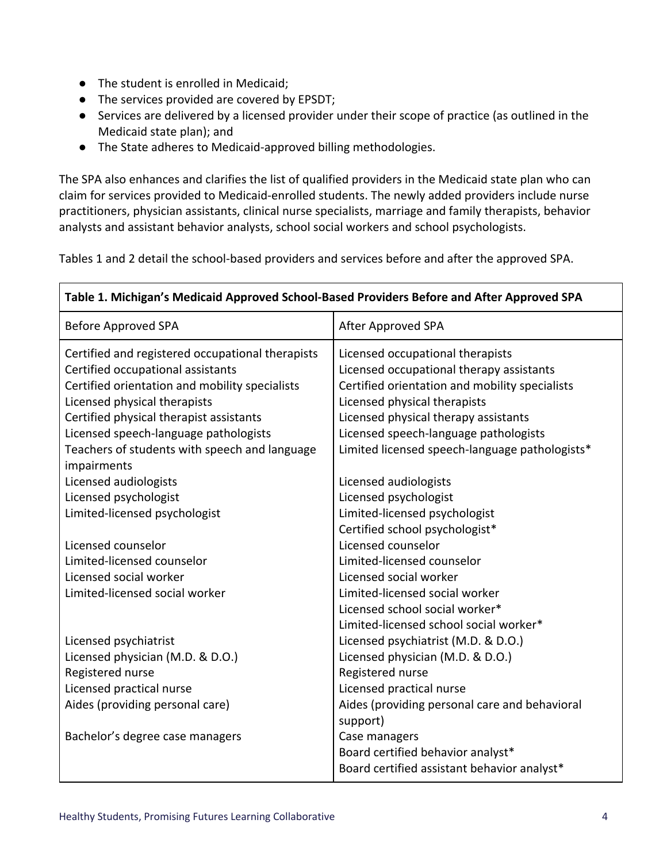- The student is enrolled in Medicaid;
- The services provided are covered by EPSDT;
- Services are delivered by a licensed provider under their scope of practice (as outlined in the Medicaid state plan); and
- The State adheres to Medicaid-approved billing methodologies.

The SPA also enhances and clarifies the list of qualified providers in the Medicaid state plan who can claim for services provided to Medicaid-enrolled students. The newly added providers include nurse practitioners, physician assistants, clinical nurse specialists, marriage and family therapists, behavior analysts and assistant behavior analysts, school social workers and school psychologists.

Tables 1 and 2 detail the school-based providers and services before and after the approved SPA.

| Table 1. Michigan's Medicaid Approved School-Based Providers Before and After Approved SPA |                                                |
|--------------------------------------------------------------------------------------------|------------------------------------------------|
| <b>Before Approved SPA</b>                                                                 | After Approved SPA                             |
| Certified and registered occupational therapists                                           | Licensed occupational therapists               |
| Certified occupational assistants                                                          | Licensed occupational therapy assistants       |
| Certified orientation and mobility specialists                                             | Certified orientation and mobility specialists |
| Licensed physical therapists                                                               | Licensed physical therapists                   |
| Certified physical therapist assistants                                                    | Licensed physical therapy assistants           |
| Licensed speech-language pathologists                                                      | Licensed speech-language pathologists          |
| Teachers of students with speech and language                                              | Limited licensed speech-language pathologists* |
| impairments                                                                                |                                                |
| Licensed audiologists                                                                      | Licensed audiologists                          |
| Licensed psychologist                                                                      | Licensed psychologist                          |
| Limited-licensed psychologist                                                              | Limited-licensed psychologist                  |
|                                                                                            | Certified school psychologist*                 |
| Licensed counselor                                                                         | Licensed counselor                             |
| Limited-licensed counselor                                                                 | Limited-licensed counselor                     |
| Licensed social worker                                                                     | Licensed social worker                         |
| Limited-licensed social worker                                                             | Limited-licensed social worker                 |
|                                                                                            | Licensed school social worker*                 |
|                                                                                            | Limited-licensed school social worker*         |
| Licensed psychiatrist                                                                      | Licensed psychiatrist (M.D. & D.O.)            |
| Licensed physician (M.D. & D.O.)                                                           | Licensed physician (M.D. & D.O.)               |
| Registered nurse                                                                           | Registered nurse                               |
| Licensed practical nurse                                                                   | Licensed practical nurse                       |
| Aides (providing personal care)                                                            | Aides (providing personal care and behavioral  |
|                                                                                            | support)                                       |
| Bachelor's degree case managers                                                            | Case managers                                  |
|                                                                                            | Board certified behavior analyst*              |
|                                                                                            | Board certified assistant behavior analyst*    |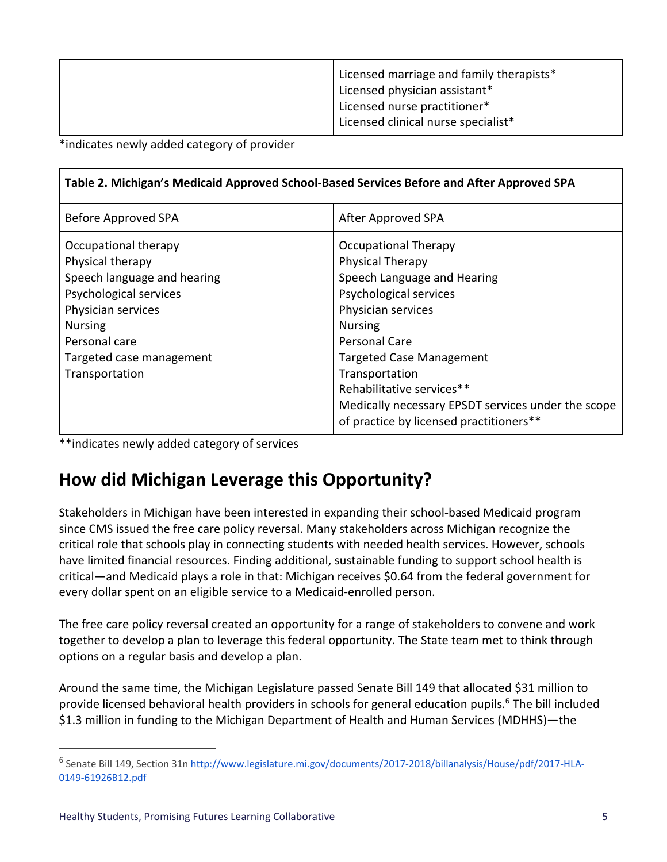| Licensed marriage and family therapists*<br>Licensed physician assistant*<br>Licensed nurse practitioner* |
|-----------------------------------------------------------------------------------------------------------|
| Licensed clinical nurse specialist*                                                                       |

\*indicates newly added category of provider

| Table 2. Michigan's Medicaid Approved School-Based Services Before and After Approved SPA                                                                                                                |                                                                                                                                                                                                                                                                                                                                                             |
|----------------------------------------------------------------------------------------------------------------------------------------------------------------------------------------------------------|-------------------------------------------------------------------------------------------------------------------------------------------------------------------------------------------------------------------------------------------------------------------------------------------------------------------------------------------------------------|
| Before Approved SPA                                                                                                                                                                                      | After Approved SPA                                                                                                                                                                                                                                                                                                                                          |
| Occupational therapy<br>Physical therapy<br>Speech language and hearing<br>Psychological services<br>Physician services<br><b>Nursing</b><br>Personal care<br>Targeted case management<br>Transportation | <b>Occupational Therapy</b><br><b>Physical Therapy</b><br>Speech Language and Hearing<br>Psychological services<br>Physician services<br><b>Nursing</b><br>Personal Care<br><b>Targeted Case Management</b><br>Transportation<br>Rehabilitative services**<br>Medically necessary EPSDT services under the scope<br>of practice by licensed practitioners** |

\*\*indicates newly added category of services

### **How did Michigan Leverage this Opportunity?**

Stakeholders in Michigan have been interested in expanding their school-based Medicaid program since CMS issued the free care policy reversal. Many stakeholders across Michigan recognize the critical role that schools play in connecting students with needed health services. However, schools have limited financial resources. Finding additional, sustainable funding to support school health is critical—and Medicaid plays a role in that: Michigan receives \$0.64 from the federal government for every dollar spent on an eligible service to a Medicaid-enrolled person.

The free care policy reversal created an opportunity for a range of stakeholders to convene and work together to develop a plan to leverage this federal opportunity. The State team met to think through options on a regular basis and develop a plan.

Around the same time, the Michigan Legislature passed Senate Bill 149 that allocated \$31 million to provide licensed behavioral health providers in schools for general education pupils. <sup>6</sup> The bill included \$1.3 million in funding to the Michigan Department of Health and Human Services (MDHHS)—the

<sup>&</sup>lt;sup>6</sup> Senate Bill 149, Section 31n http://www.legislature.mi.gov/documents/2017-2018/billanalysis/House/pdf/2017-HLA-0149-61926B12.pdf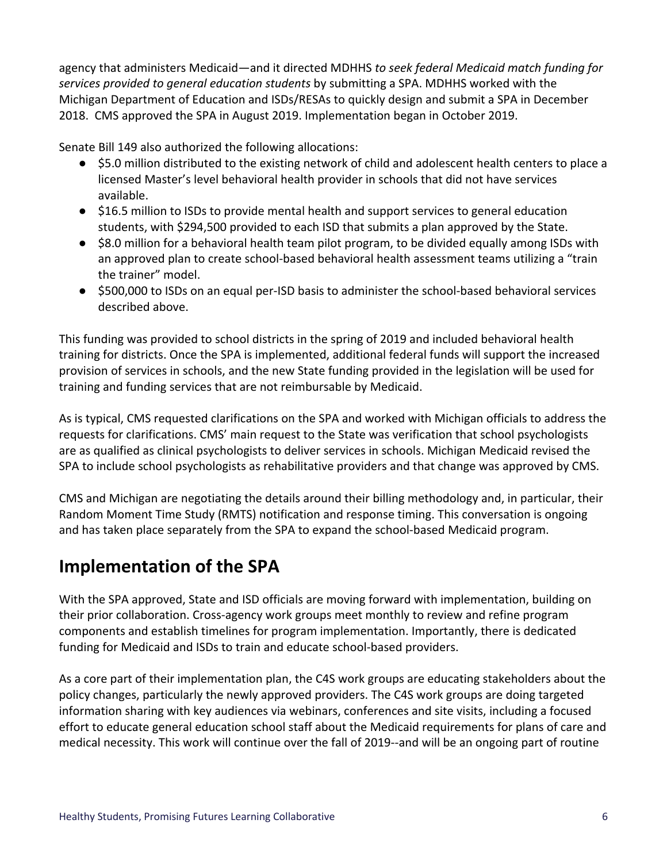agency that administers Medicaid—and it directed MDHHS *to seek federal Medicaid match funding for services provided to general education students* by submitting a SPA. MDHHS worked with the Michigan Department of Education and ISDs/RESAs to quickly design and submit a SPA in December 2018. CMS approved the SPA in August 2019. Implementation began in October 2019.

Senate Bill 149 also authorized the following allocations:

- \$5.0 million distributed to the existing network of child and adolescent health centers to place a licensed Master's level behavioral health provider in schools that did not have services available.
- \$16.5 million to ISDs to provide mental health and support services to general education students, with \$294,500 provided to each ISD that submits a plan approved by the State.
- \$8.0 million for a behavioral health team pilot program, to be divided equally among ISDs with an approved plan to create school-based behavioral health assessment teams utilizing a "train the trainer" model.
- \$500,000 to ISDs on an equal per-ISD basis to administer the school-based behavioral services described above.

This funding was provided to school districts in the spring of 2019 and included behavioral health training for districts. Once the SPA is implemented, additional federal funds will support the increased provision of services in schools, and the new State funding provided in the legislation will be used for training and funding services that are not reimbursable by Medicaid.

As is typical, CMS requested clarifications on the SPA and worked with Michigan officials to address the requests for clarifications. CMS' main request to the State was verification that school psychologists are as qualified as clinical psychologists to deliver services in schools. Michigan Medicaid revised the SPA to include school psychologists as rehabilitative providers and that change was approved by CMS.

CMS and Michigan are negotiating the details around their billing methodology and, in particular, their Random Moment Time Study (RMTS) notification and response timing. This conversation is ongoing and has taken place separately from the SPA to expand the school-based Medicaid program.

### **Implementation of the SPA**

With the SPA approved, State and ISD officials are moving forward with implementation, building on their prior collaboration. Cross-agency work groups meet monthly to review and refine program components and establish timelines for program implementation. Importantly, there is dedicated funding for Medicaid and ISDs to train and educate school-based providers.

As a core part of their implementation plan, the C4S work groups are educating stakeholders about the policy changes, particularly the newly approved providers. The C4S work groups are doing targeted information sharing with key audiences via webinars, conferences and site visits, including a focused effort to educate general education school staff about the Medicaid requirements for plans of care and medical necessity. This work will continue over the fall of 2019--and will be an ongoing part of routine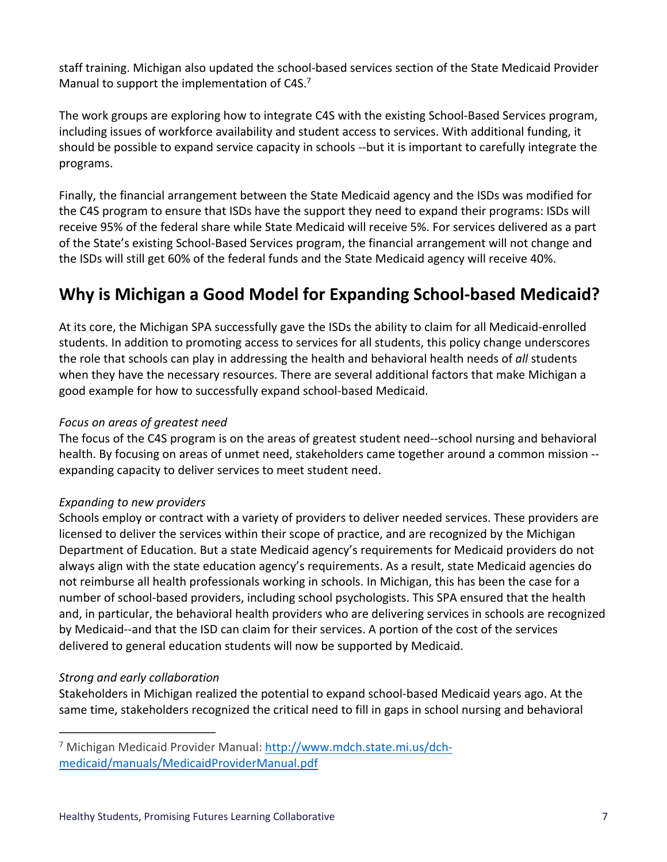staff training. Michigan also updated the school-based services section of the State Medicaid Provider Manual to support the implementation of C4S.<sup>7</sup>

The work groups are exploring how to integrate C4S with the existing School-Based Services program, including issues of workforce availability and student access to services. With additional funding, it should be possible to expand service capacity in schools --but it is important to carefully integrate the programs.

Finally, the financial arrangement between the State Medicaid agency and the ISDs was modified for the C4S program to ensure that ISDs have the support they need to expand their programs: ISDs will receive 95% of the federal share while State Medicaid will receive 5%. For services delivered as a part of the State's existing School-Based Services program, the financial arrangement will not change and the ISDs will still get 60% of the federal funds and the State Medicaid agency will receive 40%.

### **Why is Michigan a Good Model for Expanding School-based Medicaid?**

At its core, the Michigan SPA successfully gave the ISDs the ability to claim for all Medicaid-enrolled students. In addition to promoting access to services for all students, this policy change underscores the role that schools can play in addressing the health and behavioral health needs of *all* students when they have the necessary resources. There are several additional factors that make Michigan a good example for how to successfully expand school-based Medicaid.

#### *Focus on areas of greatest need*

The focus of the C4S program is on the areas of greatest student need--school nursing and behavioral health. By focusing on areas of unmet need, stakeholders came together around a common mission - expanding capacity to deliver services to meet student need.

#### *Expanding to new providers*

Schools employ or contract with a variety of providers to deliver needed services. These providers are licensed to deliver the services within their scope of practice, and are recognized by the Michigan Department of Education. But a state Medicaid agency's requirements for Medicaid providers do not always align with the state education agency's requirements. As a result, state Medicaid agencies do not reimburse all health professionals working in schools. In Michigan, this has been the case for a number of school-based providers, including school psychologists. This SPA ensured that the health and, in particular, the behavioral health providers who are delivering services in schools are recognized by Medicaid--and that the ISD can claim for their services. A portion of the cost of the services delivered to general education students will now be supported by Medicaid.

### *Strong and early collaboration*

Stakeholders in Michigan realized the potential to expand school-based Medicaid years ago. At the same time, stakeholders recognized the critical need to fill in gaps in school nursing and behavioral

 <sup>7</sup> Michigan Medicaid Provider Manual: http://www.mdch.state.mi.us/dchmedicaid/manuals/MedicaidProviderManual.pdf